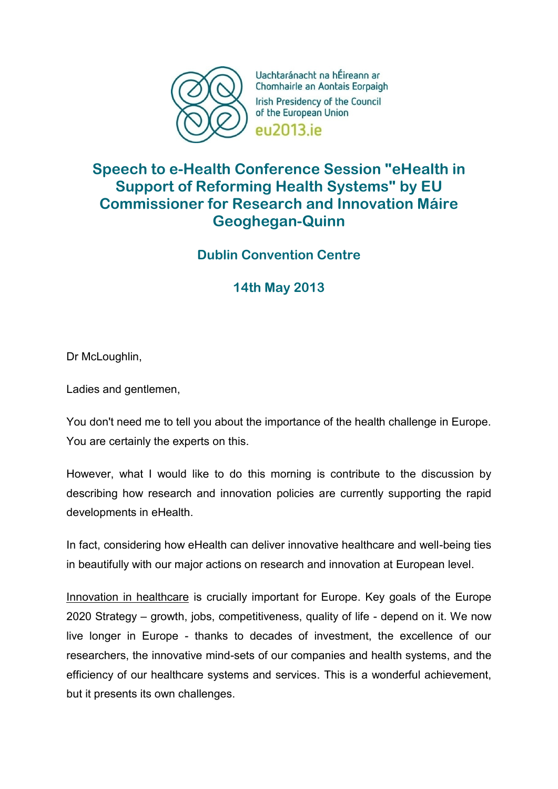

Uachtaránacht na hÉireann ar Chomhairle an Aontais Eorpaigh Irish Presidency of the Council of the European Union eu2013 je

## **Speech to e-Health Conference Session "eHealth in Support of Reforming Health Systems" by EU Commissioner for Research and Innovation Máire Geoghegan-Quinn**

## **Dublin Convention Centre**

**14th May 2013**

Dr McLoughlin,

Ladies and gentlemen,

You don't need me to tell you about the importance of the health challenge in Europe. You are certainly the experts on this.

However, what I would like to do this morning is contribute to the discussion by describing how research and innovation policies are currently supporting the rapid developments in eHealth.

In fact, considering how eHealth can deliver innovative healthcare and well-being ties in beautifully with our major actions on research and innovation at European level.

Innovation in healthcare is crucially important for Europe. Key goals of the Europe 2020 Strategy – growth, jobs, competitiveness, quality of life - depend on it. We now live longer in Europe - thanks to decades of investment, the excellence of our researchers, the innovative mind-sets of our companies and health systems, and the efficiency of our healthcare systems and services. This is a wonderful achievement, but it presents its own challenges.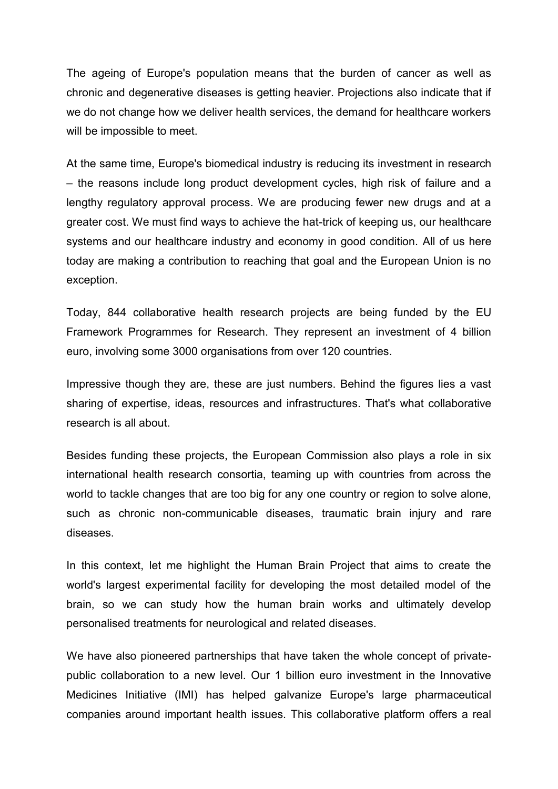The ageing of Europe's population means that the burden of cancer as well as chronic and degenerative diseases is getting heavier. Projections also indicate that if we do not change how we deliver health services, the demand for healthcare workers will be impossible to meet.

At the same time, Europe's biomedical industry is reducing its investment in research – the reasons include long product development cycles, high risk of failure and a lengthy regulatory approval process. We are producing fewer new drugs and at a greater cost. We must find ways to achieve the hat-trick of keeping us, our healthcare systems and our healthcare industry and economy in good condition. All of us here today are making a contribution to reaching that goal and the European Union is no exception.

Today, 844 collaborative health research projects are being funded by the EU Framework Programmes for Research. They represent an investment of 4 billion euro, involving some 3000 organisations from over 120 countries.

Impressive though they are, these are just numbers. Behind the figures lies a vast sharing of expertise, ideas, resources and infrastructures. That's what collaborative research is all about.

Besides funding these projects, the European Commission also plays a role in six international health research consortia, teaming up with countries from across the world to tackle changes that are too big for any one country or region to solve alone, such as chronic non-communicable diseases, traumatic brain injury and rare diseases.

In this context, let me highlight the Human Brain Project that aims to create the world's largest experimental facility for developing the most detailed model of the brain, so we can study how the human brain works and ultimately develop personalised treatments for neurological and related diseases.

We have also pioneered partnerships that have taken the whole concept of privatepublic collaboration to a new level. Our 1 billion euro investment in the Innovative Medicines Initiative (IMI) has helped galvanize Europe's large pharmaceutical companies around important health issues. This collaborative platform offers a real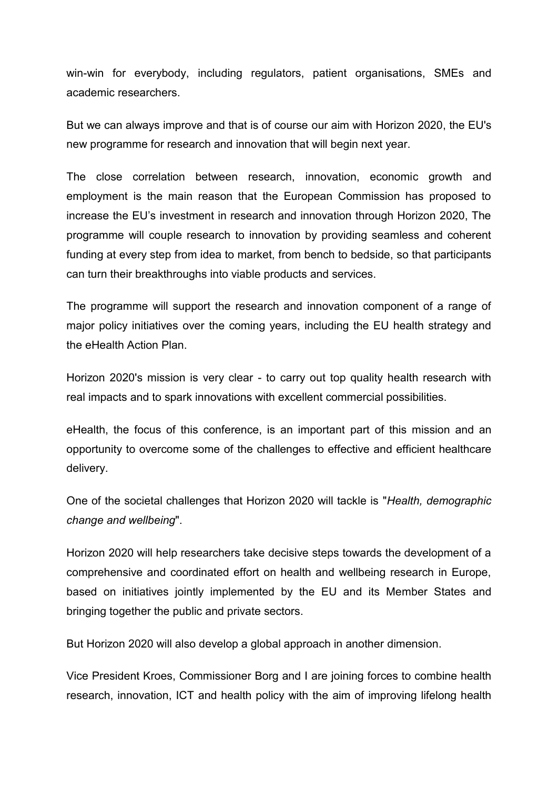win-win for everybody, including regulators, patient organisations, SMEs and academic researchers.

But we can always improve and that is of course our aim with Horizon 2020, the EU's new programme for research and innovation that will begin next year.

The close correlation between research, innovation, economic growth and employment is the main reason that the European Commission has proposed to increase the EU's investment in research and innovation through Horizon 2020, The programme will couple research to innovation by providing seamless and coherent funding at every step from idea to market, from bench to bedside, so that participants can turn their breakthroughs into viable products and services.

The programme will support the research and innovation component of a range of major policy initiatives over the coming years, including the EU health strategy and the eHealth Action Plan.

Horizon 2020's mission is very clear - to carry out top quality health research with real impacts and to spark innovations with excellent commercial possibilities.

eHealth, the focus of this conference, is an important part of this mission and an opportunity to overcome some of the challenges to effective and efficient healthcare delivery.

One of the societal challenges that Horizon 2020 will tackle is "*Health, demographic change and wellbeing*".

Horizon 2020 will help researchers take decisive steps towards the development of a comprehensive and coordinated effort on health and wellbeing research in Europe, based on initiatives jointly implemented by the EU and its Member States and bringing together the public and private sectors.

But Horizon 2020 will also develop a global approach in another dimension.

Vice President Kroes, Commissioner Borg and I are joining forces to combine health research, innovation, ICT and health policy with the aim of improving lifelong health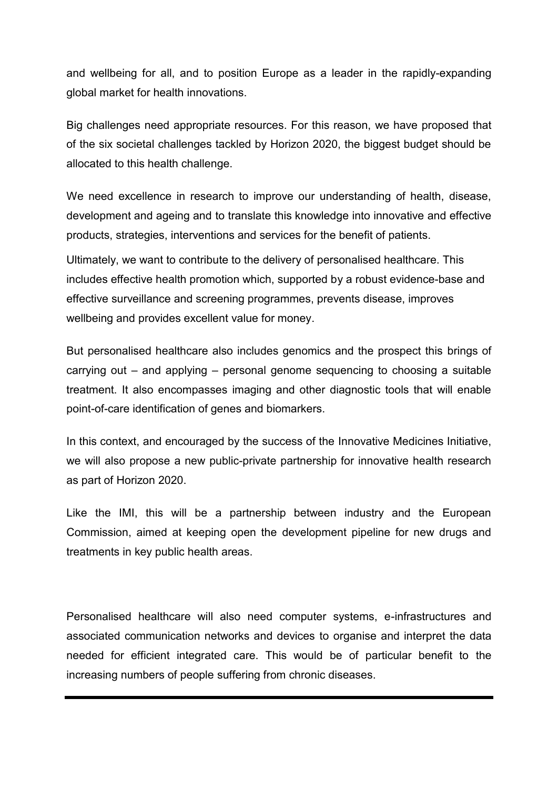and wellbeing for all, and to position Europe as a leader in the rapidly-expanding global market for health innovations.

Big challenges need appropriate resources. For this reason, we have proposed that of the six societal challenges tackled by Horizon 2020, the biggest budget should be allocated to this health challenge.

We need excellence in research to improve our understanding of health, disease, development and ageing and to translate this knowledge into innovative and effective products, strategies, interventions and services for the benefit of patients.

Ultimately, we want to contribute to the delivery of personalised healthcare. This includes effective health promotion which, supported by a robust evidence-base and effective surveillance and screening programmes, prevents disease, improves wellbeing and provides excellent value for money.

But personalised healthcare also includes genomics and the prospect this brings of carrying out – and applying – personal genome sequencing to choosing a suitable treatment. It also encompasses imaging and other diagnostic tools that will enable point-of-care identification of genes and biomarkers.

In this context, and encouraged by the success of the Innovative Medicines Initiative, we will also propose a new public-private partnership for innovative health research as part of Horizon 2020.

Like the IMI, this will be a partnership between industry and the European Commission, aimed at keeping open the development pipeline for new drugs and treatments in key public health areas.

Personalised healthcare will also need computer systems, e-infrastructures and associated communication networks and devices to organise and interpret the data needed for efficient integrated care. This would be of particular benefit to the increasing numbers of people suffering from chronic diseases.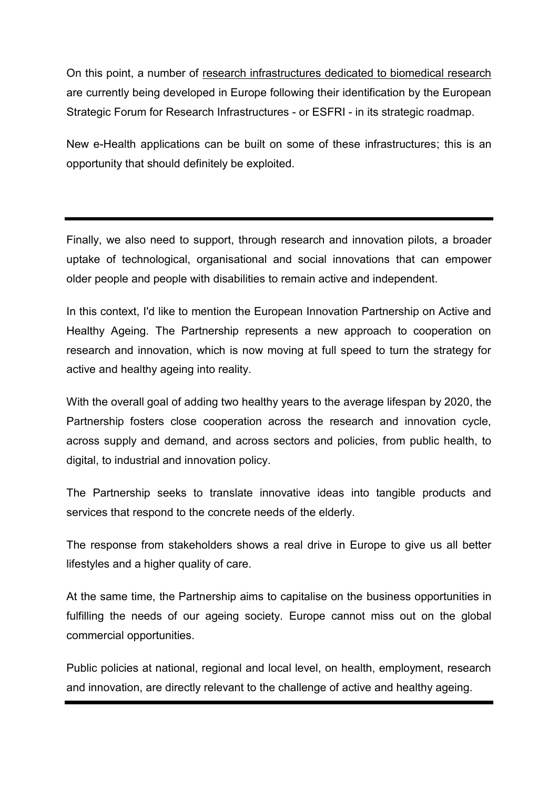On this point, a number of research infrastructures dedicated to biomedical research are currently being developed in Europe following their identification by the European Strategic Forum for Research Infrastructures - or ESFRI - in its strategic roadmap.

New e-Health applications can be built on some of these infrastructures; this is an opportunity that should definitely be exploited.

Finally, we also need to support, through research and innovation pilots, a broader uptake of technological, organisational and social innovations that can empower older people and people with disabilities to remain active and independent.

In this context, I'd like to mention the European Innovation Partnership on Active and Healthy Ageing. The Partnership represents a new approach to cooperation on research and innovation, which is now moving at full speed to turn the strategy for active and healthy ageing into reality.

With the overall goal of adding two healthy years to the average lifespan by 2020, the Partnership fosters close cooperation across the research and innovation cycle, across supply and demand, and across sectors and policies, from public health, to digital, to industrial and innovation policy.

The Partnership seeks to translate innovative ideas into tangible products and services that respond to the concrete needs of the elderly.

The response from stakeholders shows a real drive in Europe to give us all better lifestyles and a higher quality of care.

At the same time, the Partnership aims to capitalise on the business opportunities in fulfilling the needs of our ageing society. Europe cannot miss out on the global commercial opportunities.

Public policies at national, regional and local level, on health, employment, research and innovation, are directly relevant to the challenge of active and healthy ageing.